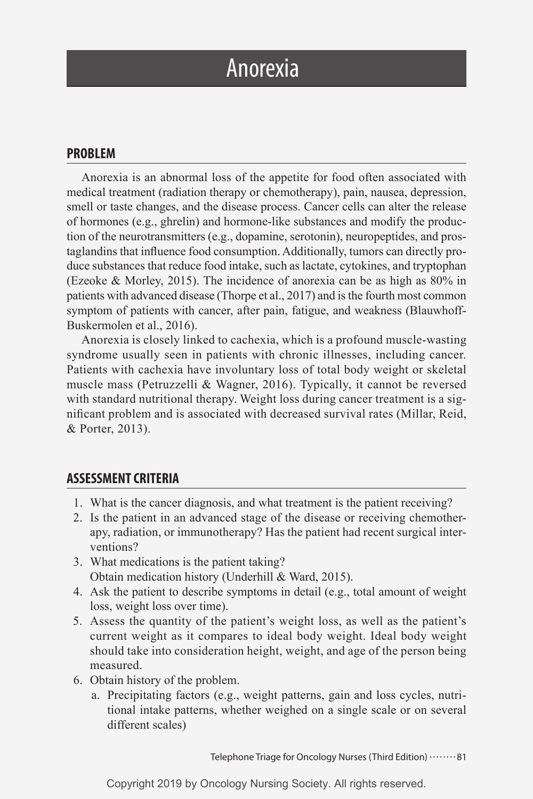# Anorexia

## **PROBLEM**

Anorexia is an abnormal loss of the appetite for food often associated with medical treatment (radiation therapy or chemotherapy), pain, nausea, depression, smell or taste changes, and the disease process. Cancer cells can alter the release of hormones (e.g., ghrelin) and hormone-like substances and modify the production of the neurotransmitters (e.g., dopamine, serotonin), neuropeptides, and prostaglandins that influence food consumption. Additionally, tumors can directly produce substances that reduce food intake, such as lactate, cytokines, and tryptophan (Ezeoke & Morley, 2015). The incidence of anorexia can be as high as 80% in patients with advanced disease (Thorpe et al., 2017) and is the fourth most common symptom of patients with cancer, after pain, fatigue, and weakness (Blauwhoff-Buskermolen et al., 2016).

Anorexia is closely linked to cachexia, which is a profound muscle-wasting syndrome usually seen in patients with chronic illnesses, including cancer. Patients with cachexia have involuntary loss of total body weight or skeletal muscle mass (Petruzzelli & Wagner, 2016). Typically, it cannot be reversed with standard nutritional therapy. Weight loss during cancer treatment is a significant problem and is associated with decreased survival rates (Millar, Reid, & Porter, 2013).

### **ASSESSMENT CRITERIA**

- 1. What is the cancer diagnosis, and what treatment is the patient receiving?
- 2. Is the patient in an advanced stage of the disease or receiving chemotherapy, radiation, or immunotherapy? Has the patient had recent surgical interventions?
- 3. What medications is the patient taking? Obtain medication history (Underhill & Ward, 2015).
- 4. Ask the patient to describe symptoms in detail (e.g., total amount of weight loss, weight loss over time).
- 5. Assess the quantity of the patient's weight loss, as well as the patient's current weight as it compares to ideal body weight. Ideal body weight should take into consideration height, weight, and age of the person being measured.
- 6. Obtain history of the problem.
	- a. Precipitating factors (e.g., weight patterns, gain and loss cycles, nutritional intake patterns, whether weighed on a single scale or on several different scales)

Telephone Triage for Oncology Nurses (Third Edition) ........81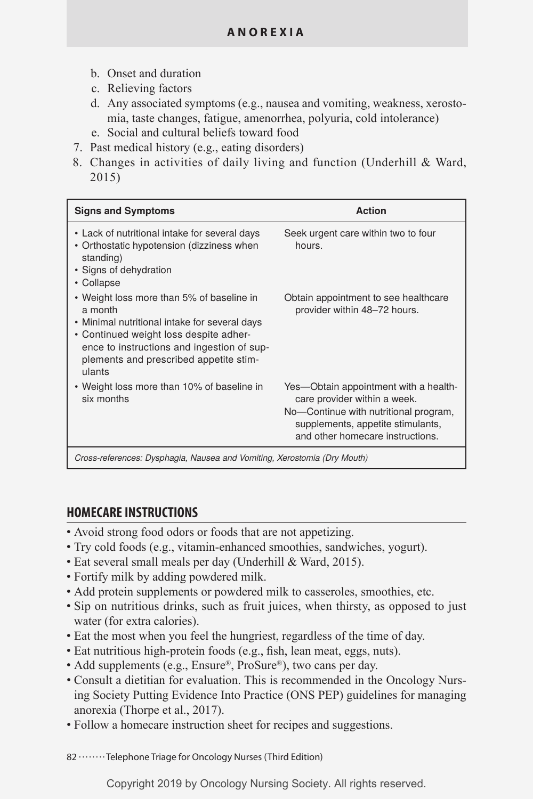- b. Onset and duration
- c. Relieving factors
- d. Any associated symptoms (e.g., nausea and vomiting, weakness, xerostomia, taste changes, fatigue, amenorrhea, polyuria, cold intolerance)
- e. Social and cultural beliefs toward food
- 7. Past medical history (e.g., eating disorders)
- 8. Changes in activities of daily living and function (Underhill & Ward, 2015)

| <b>Signs and Symptoms</b>                                                                                                                                                                                                                         | Action                                                                                                                                                                                  |
|---------------------------------------------------------------------------------------------------------------------------------------------------------------------------------------------------------------------------------------------------|-----------------------------------------------------------------------------------------------------------------------------------------------------------------------------------------|
| • Lack of nutritional intake for several days<br>• Orthostatic hypotension (dizziness when<br>standing)<br>• Signs of dehydration<br>• Collapse                                                                                                   | Seek urgent care within two to four<br>hours.                                                                                                                                           |
| • Weight loss more than 5% of baseline in<br>a month<br>• Minimal nutritional intake for several days<br>• Continued weight loss despite adher-<br>ence to instructions and ingestion of sup-<br>plements and prescribed appetite stim-<br>ulants | Obtain appointment to see healthcare<br>provider within 48-72 hours.                                                                                                                    |
| • Weight loss more than 10% of baseline in<br>six months                                                                                                                                                                                          | Yes—Obtain appointment with a health-<br>care provider within a week.<br>No-Continue with nutritional program,<br>supplements, appetite stimulants,<br>and other homecare instructions. |
| Cross-references: Dysphagia, Nausea and Vomiting, Xerostomia (Dry Mouth)                                                                                                                                                                          |                                                                                                                                                                                         |

## **HOMECARE INSTRUCTIONS**

- Avoid strong food odors or foods that are not appetizing.
- Try cold foods (e.g., vitamin-enhanced smoothies, sandwiches, yogurt).
- Eat several small meals per day (Underhill & Ward, 2015).
- Fortify milk by adding powdered milk.
- Add protein supplements or powdered milk to casseroles, smoothies, etc.
- Sip on nutritious drinks, such as fruit juices, when thirsty, as opposed to just water (for extra calories).
- Eat the most when you feel the hungriest, regardless of the time of day.
- Eat nutritious high-protein foods (e.g., fish, lean meat, eggs, nuts).
- Add supplements (e.g., Ensure®, ProSure®), two cans per day.
- Consult a dietitian for evaluation. This is recommended in the Oncology Nursing Society Putting Evidence Into Practice (ONS PEP) guidelines for managing anorexia (Thorpe et al., 2017).
- Follow a homecare instruction sheet for recipes and suggestions.

82 .......Telephone Triage for Oncology Nurses (Third Edition)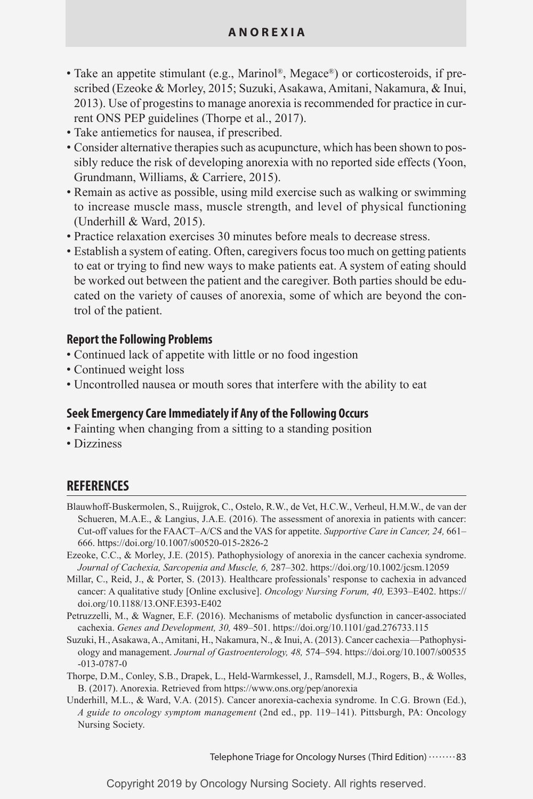- Take an appetite stimulant (e.g., Marinol®, Megace®) or corticosteroids, if prescribed (Ezeoke & Morley, 2015; Suzuki, Asakawa, Amitani, Nakamura, & Inui, 2013). Use of progestins to manage anorexia is recommended for practice in current ONS PEP guidelines (Thorpe et al., 2017).
- Take antiemetics for nausea, if prescribed.
- Consider alternative therapies such as acupuncture, which has been shown to possibly reduce the risk of developing anorexia with no reported side effects (Yoon, Grundmann, Williams, & Carriere, 2015).
- Remain as active as possible, using mild exercise such as walking or swimming to increase muscle mass, muscle strength, and level of physical functioning (Underhill & Ward, 2015).
- Practice relaxation exercises 30 minutes before meals to decrease stress.
- Establish a system of eating. Often, caregivers focus too much on getting patients to eat or trying to find new ways to make patients eat. A system of eating should be worked out between the patient and the caregiver. Both parties should be educated on the variety of causes of anorexia, some of which are beyond the control of the patient.

#### **Report the Following Problems**

- Continued lack of appetite with little or no food ingestion
- Continued weight loss
- Uncontrolled nausea or mouth sores that interfere with the ability to eat

### **Seek Emergency Care Immediately if Any of the Following Occurs**

- Fainting when changing from a sitting to a standing position
- Dizziness

# **REFERENCES**

- Blauwhoff-Buskermolen, S., Ruijgrok, C., Ostelo, R.W., de Vet, H.C.W., Verheul, H.M.W., de van der Schueren, M.A.E., & Langius, J.A.E. (2016). The assessment of anorexia in patients with cancer: Cut-off values for the FAACT–A/CS and the VAS for appetite. *Supportive Care in Cancer, 24,* 661– 666. https://doi.org/10.1007/s00520-015-2826-2
- Ezeoke, C.C., & Morley, J.E. (2015). Pathophysiology of anorexia in the cancer cachexia syndrome. *Journal of Cachexia, Sarcopenia and Muscle, 6,* 287–302. https://doi.org/10.1002/jcsm.12059
- Millar, C., Reid, J., & Porter, S. (2013). Healthcare professionals' response to cachexia in advanced cancer: A qualitative study [Online exclusive]. *Oncology Nursing Forum, 40,* E393–E402. https:// doi.org/10.1188/13.ONF.E393-E402
- Petruzzelli, M., & Wagner, E.F. (2016). Mechanisms of metabolic dysfunction in cancer-associated cachexia. *Genes and Development, 30,* 489–501. https://doi.org/10.1101/gad.276733.115
- Suzuki, H., Asakawa, A., Amitani, H., Nakamura, N., & Inui, A. (2013). Cancer cachexia—Pathophysiology and management. *Journal of Gastroenterology, 48,* 574–594. https://doi.org/10.1007/s00535 -013-0787-0
- Thorpe, D.M., Conley, S.B., Drapek, L., Held-Warmkessel, J., Ramsdell, M.J., Rogers, B., & Wolles, B. (2017). Anorexia. Retrieved from https://www.ons.org/pep/anorexia
- Underhill, M.L., & Ward, V.A. (2015). Cancer anorexia-cachexia syndrome. In C.G. Brown (Ed.), *A guide to oncology symptom management* (2nd ed., pp. 119–141). Pittsburgh, PA: Oncology Nursing Society.

Telephone Triage for Oncology Nurses (Third Edition) ........83